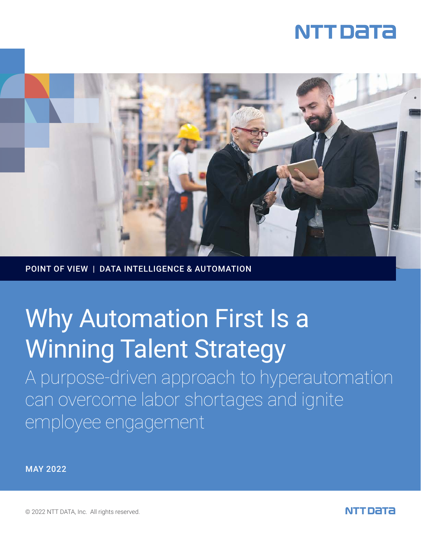



POINT OF VIEW | DATA INTELLIGENCE & AUTOMATION

# Why Automation First Is a Winning Talent Strategy

A purpose-driven approach to hyperautomation can overcome labor shortages and ignite employee engagement

MAY 2022

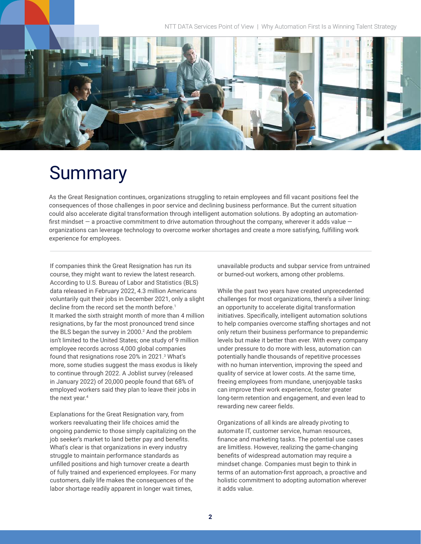NTT DATA Services Point of View | Why Automation First Is a Winning Talent Strategy



## Summary

As the Great Resignation continues, organizations struggling to retain employees and fill vacant positions feel the consequences of those challenges in poor service and declining business performance. But the current situation could also accelerate digital transformation through intelligent automation solutions. By adopting an automationfirst mindset  $-$  a proactive commitment to drive automation throughout the company, wherever it adds value  $$ organizations can leverage technology to overcome worker shortages and create a more satisfying, fulfilling work experience for employees.

If companies think the Great Resignation has run its course, they might want to review the latest research. According to U.S. Bureau of Labor and Statistics (BLS) data released in February 2022, 4.3 million Americans voluntarily quit their jobs in December 2021, only a slight decline from the record set the month before.<sup>1</sup> It marked the sixth straight month of more than 4 million resignations, by far the most pronounced trend since the BLS began the survey in  $2000<sup>2</sup>$  And the problem isn't limited to the United States; one study of 9 million employee records across 4,000 global companies found that resignations rose 20% in 2021.<sup>3</sup> What's more, some studies suggest the mass exodus is likely to continue through 2022. A Joblist survey (released in January 2022) of 20,000 people found that 68% of employed workers said they plan to leave their jobs in the next year.<sup>4</sup>

Explanations for the Great Resignation vary, from workers reevaluating their life choices amid the ongoing pandemic to those simply capitalizing on the job seeker's market to land better pay and benefits. What's clear is that organizations in every industry struggle to maintain performance standards as unfilled positions and high turnover create a dearth of fully trained and experienced employees. For many customers, daily life makes the consequences of the labor shortage readily apparent in longer wait times,

unavailable products and subpar service from untrained or burned-out workers, among other problems.

While the past two years have created unprecedented challenges for most organizations, there's a silver lining: an opportunity to accelerate digital transformation initiatives. Specifically, intelligent automation solutions to help companies overcome staffing shortages and not only return their business performance to prepandemic levels but make it better than ever. With every company under pressure to do more with less, automation can potentially handle thousands of repetitive processes with no human intervention, improving the speed and quality of service at lower costs. At the same time, freeing employees from mundane, unenjoyable tasks can improve their work experience, foster greater long-term retention and engagement, and even lead to rewarding new career fields.

Organizations of all kinds are already pivoting to automate IT, customer service, human resources, finance and marketing tasks. The potential use cases are limitless. However, realizing the game-changing benefits of widespread automation may require a mindset change. Companies must begin to think in terms of an automation-first approach, a proactive and holistic commitment to adopting automation wherever it adds value.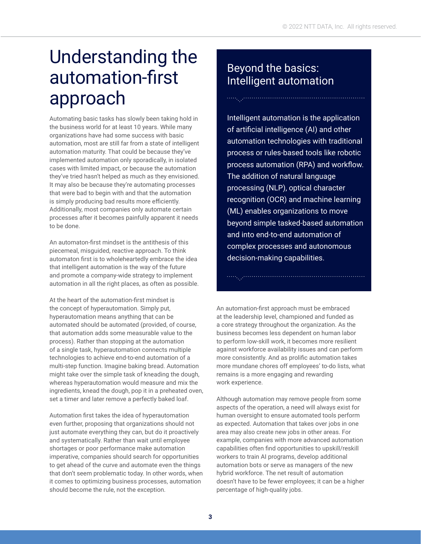## Understanding the automation-first approach

Automating basic tasks has slowly been taking hold in the business world for at least 10 years. While many organizations have had some success with basic automation, most are still far from a state of intelligent automation maturity. That could be because they've implemented automation only sporadically, in isolated cases with limited impact, or because the automation they've tried hasn't helped as much as they envisioned. It may also be because they're automating processes that were bad to begin with and that the automation is simply producing bad results more efficiently. Additionally, most companies only automate certain processes after it becomes painfully apparent it needs to be done.

An automaton-first mindset is the antithesis of this piecemeal, misguided, reactive approach. To think automaton first is to wholeheartedly embrace the idea that intelligent automation is the way of the future and promote a company-wide strategy to implement automation in all the right places, as often as possible.

At the heart of the automation-first mindset is the concept of hyperautomation. Simply put, hyperautomation means anything that can be automated should be automated (provided, of course, that automation adds some measurable value to the process). Rather than stopping at the automation of a single task, hyperautomation connects multiple technologies to achieve end-to-end automation of a multi-step function. Imagine baking bread. Automation might take over the simple task of kneading the dough, whereas hyperautomation would measure and mix the ingredients, knead the dough, pop it in a preheated oven, set a timer and later remove a perfectly baked loaf.

Automation first takes the idea of hyperautomation even further, proposing that organizations should not just automate everything they can, but do it proactively and systematically. Rather than wait until employee shortages or poor performance make automation imperative, companies should search for opportunities to get ahead of the curve and automate even the things that don't seem problematic today. In other words, when it comes to optimizing business processes, automation should become the rule, not the exception.

### Beyond the basics: Intelligent automation

Intelligent automation is the application of artificial intelligence (AI) and other automation technologies with traditional process or rules-based tools like robotic process automation (RPA) and workflow. The addition of natural language processing (NLP), optical character recognition (OCR) and machine learning (ML) enables organizations to move beyond simple tasked-based automation and into end-to-end automation of complex processes and autonomous decision-making capabilities.

An automation-first approach must be embraced at the leadership level, championed and funded as a core strategy throughout the organization. As the business becomes less dependent on human labor to perform low-skill work, it becomes more resilient against workforce availability issues and can perform more consistently. And as prolific automation takes more mundane chores off employees' to-do lists, what remains is a more engaging and rewarding work experience.

Although automation may remove people from some aspects of the operation, a need will always exist for human oversight to ensure automated tools perform as expected. Automation that takes over jobs in one area may also create new jobs in other areas. For example, companies with more advanced automation capabilities often find opportunities to upskill/reskill workers to train AI programs, develop additional automation bots or serve as managers of the new hybrid workforce. The net result of automation doesn't have to be fewer employees; it can be a higher percentage of high-quality jobs.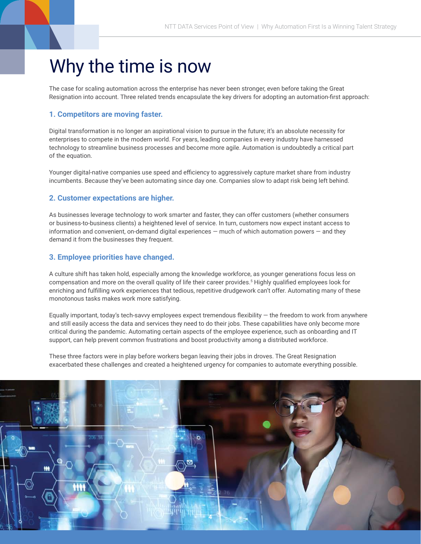## Why the time is now

The case for scaling automation across the enterprise has never been stronger, even before taking the Great Resignation into account. Three related trends encapsulate the key drivers for adopting an automation-first approach:

### **1. Competitors are moving faster.**

Digital transformation is no longer an aspirational vision to pursue in the future; it's an absolute necessity for enterprises to compete in the modern world. For years, leading companies in every industry have harnessed technology to streamline business processes and become more agile. Automation is undoubtedly a critical part of the equation.

Younger digital-native companies use speed and efficiency to aggressively capture market share from industry incumbents. Because they've been automating since day one. Companies slow to adapt risk being left behind.

### **2. Customer expectations are higher.**

As businesses leverage technology to work smarter and faster, they can offer customers (whether consumers or business-to-business clients) a heightened level of service. In turn, customers now expect instant access to information and convenient, on-demand digital experiences — much of which automation powers — and they demand it from the businesses they frequent.

### **3. Employee priorities have changed.**

A culture shift has taken hold, especially among the knowledge workforce, as younger generations focus less on compensation and more on the overall quality of life their career provides.<sup>5</sup> Highly qualified employees look for enriching and fulfilling work experiences that tedious, repetitive drudgework can't offer. Automating many of these monotonous tasks makes work more satisfying.

Equally important, today's tech-savvy employees expect tremendous flexibility  $-$  the freedom to work from anywhere and still easily access the data and services they need to do their jobs. These capabilities have only become more critical during the pandemic. Automating certain aspects of the employee experience, such as onboarding and IT support, can help prevent common frustrations and boost productivity among a distributed workforce.

These three factors were in play before workers began leaving their jobs in droves. The Great Resignation exacerbated these challenges and created a heightened urgency for companies to automate everything possible.

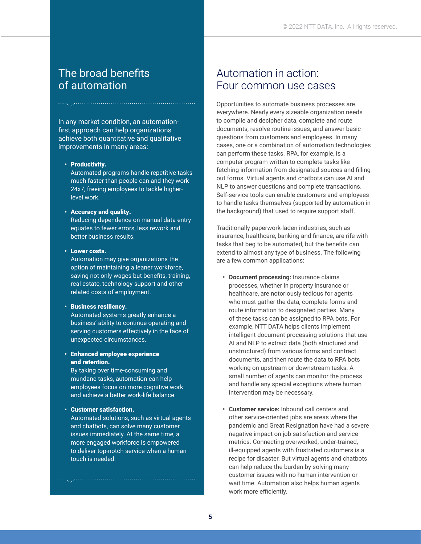### The broad benefits of automation

In any market condition, an automationfirst approach can help organizations achieve both quantitative and qualitative improvements in many areas:

#### • Productivity.

Automated programs handle repetitive tasks much faster than people can and they work 24x7, freeing employees to tackle higherlevel work.

### • Accuracy and quality.

Reducing dependence on manual data entry equates to fewer errors, less rework and better business results.

#### • Lower costs.

Automation may give organizations the option of maintaining a leaner workforce, saving not only wages but benefits, training, real estate, technology support and other related costs of employment.

#### • Business resiliency.

Automated systems greatly enhance a business' ability to continue operating and serving customers effectively in the face of unexpected circumstances.

### • Enhanced employee experience and retention.

By taking over time-consuming and mundane tasks, automation can help employees focus on more cognitive work and achieve a better work-life balance.

### • Customer satisfaction.

Automated solutions, such as virtual agents and chatbots, can solve many customer issues immediately. At the same time, a more engaged workforce is empowered to deliver top-notch service when a human touch is needed.

### Automation in action: Four common use cases

Opportunities to automate business processes are everywhere. Nearly every sizeable organization needs to compile and decipher data, complete and route documents, resolve routine issues, and answer basic questions from customers and employees. In many cases, one or a combination of automation technologies can perform these tasks. RPA, for example, is a computer program written to complete tasks like fetching information from designated sources and filling out forms. Virtual agents and chatbots can use AI and NLP to answer questions and complete transactions. Self-service tools can enable customers and employees to handle tasks themselves (supported by automation in the background) that used to require support staff.

Traditionally paperwork-laden industries, such as insurance, healthcare, banking and finance, are rife with tasks that beg to be automated, but the benefits can extend to almost any type of business. The following are a few common applications:

- **• Document processing:** Insurance claims processes, whether in property insurance or healthcare, are notoriously tedious for agents who must gather the data, complete forms and route information to designated parties. Many of these tasks can be assigned to RPA bots. For example, NTT DATA helps clients implement intelligent document processing solutions that use AI and NLP to extract data (both structured and unstructured) from various forms and contract documents, and then route the data to RPA bots working on upstream or downstream tasks. A small number of agents can monitor the process and handle any special exceptions where human intervention may be necessary.
- **• Customer service:** Inbound call centers and other service-oriented jobs are areas where the pandemic and Great Resignation have had a severe negative impact on job satisfaction and service metrics. Connecting overworked, under-trained, ill-equipped agents with frustrated customers is a recipe for disaster. But virtual agents and chatbots can help reduce the burden by solving many customer issues with no human intervention or wait time. Automation also helps human agents work more efficiently.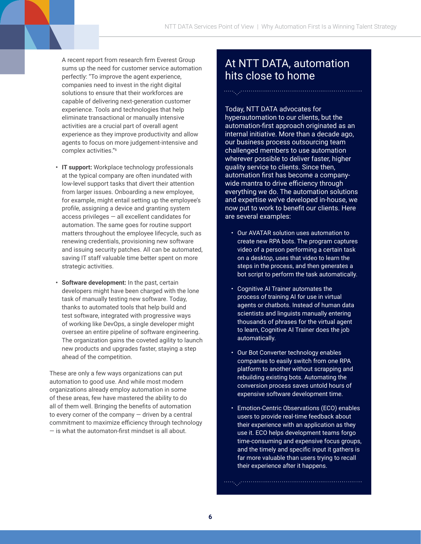A recent report from research firm Everest Group sums up the need for customer service automation perfectly: "To improve the agent experience, companies need to invest in the right digital solutions to ensure that their workforces are capable of delivering next-generation customer experience. Tools and technologies that help eliminate transactional or manually intensive activities are a crucial part of overall agent experience as they improve productivity and allow agents to focus on more judgement-intensive and complex activities."6

- **• IT support:** Workplace technology professionals at the typical company are often inundated with low-level support tasks that divert their attention from larger issues. Onboarding a new employee, for example, might entail setting up the employee's profile, assigning a device and granting system access privileges — all excellent candidates for automation. The same goes for routine support matters throughout the employee lifecycle, such as renewing credentials, provisioning new software and issuing security patches. All can be automated, saving IT staff valuable time better spent on more strategic activities.
- **• Software development:** In the past, certain developers might have been charged with the lone task of manually testing new software. Today, thanks to automated tools that help build and test software, integrated with progressive ways of working like DevOps, a single developer might oversee an entire pipeline of software engineering. The organization gains the coveted agility to launch new products and upgrades faster, staying a step ahead of the competition.

These are only a few ways organizations can put automation to good use. And while most modern organizations already employ automation in some of these areas, few have mastered the ability to do all of them well. Bringing the benefits of automation to every corner of the company  $-$  driven by a central commitment to maximize efficiency through technology — is what the automaton-first mindset is all about.

### At NTT DATA, automation hits close to home

Today, NTT DATA advocates for hyperautomation to our clients, but the automation-first approach originated as an internal initiative. More than a decade ago, our business process outsourcing team challenged members to use automation wherever possible to deliver faster, higher quality service to clients. Since then, automation first has become a companywide mantra to drive efficiency through everything we do. The automation solutions and expertise we've developed in-house, we now put to work to benefit our clients. Here are several examples:

- Our AVATAR solution uses automation to create new RPA bots. The program captures video of a person performing a certain task on a desktop, uses that video to learn the steps in the process, and then generates a bot script to perform the task automatically.
- Cognitive AI Trainer automates the process of training AI for use in virtual agents or chatbots. Instead of human data scientists and linguists manually entering thousands of phrases for the virtual agent to learn, Cognitive AI Trainer does the job automatically.
- Our Bot Converter technology enables companies to easily switch from one RPA platform to another without scrapping and rebuilding existing bots. Automating the conversion process saves untold hours of expensive software development time.
- Emotion-Centric Observations (ECO) enables users to provide real-time feedback about their experience with an application as they use it. ECO helps development teams forgo time-consuming and expensive focus groups, and the timely and specific input it gathers is far more valuable than users trying to recall their experience after it happens.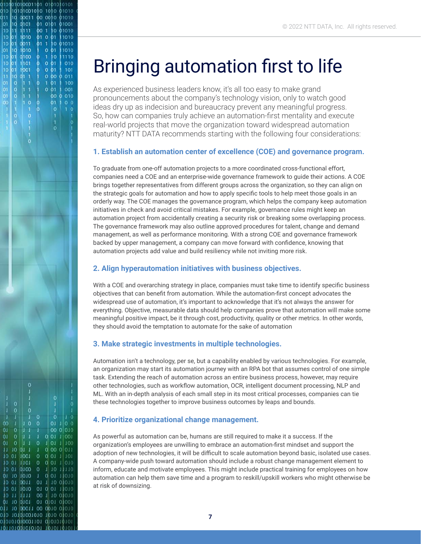## Bringing automation first to life

010101010001101 0101010101

10101001010 1010 01010

10 00011 00 0010 01010

00 1  $10$ 

 $011$ Ť0. 01010

 $\ddot{\mathbf{0}}$ 

 $\overline{0}$ 

 $\circ$ 

J.  $\mathbf{0}$ 00 0  $011$ 

 $\theta$  $\alpha$  $01$ 1010

 $\overline{0}$ 

 $01$ 

 $01$ 

 $00$ 

011 10 00011 00 0010 01010 010 10101001010 1010 01010 οιοιοισίοσοι τοι στοσιριστ TOTOTIONS TOTOTODOTION

 $\overline{0}$ 

 $011$  $0<sub>0</sub>$ 

 $011$ 100

 $10<sub>10</sub>$ 11110

00 0 010

H  $101$ 

0 01 11010

0 01 11010

1 10 01010 01 0101 01001

10 01010

 $001$ 

 $00$ 

 $\overline{a}$ 

 $01$ 

 $01$ 

П  $1001$ 

 $10$  $01$  $1001$  $\overline{0}$ 

10 01 1101

10 01 0100

 $0.101010$ 

10 TT 1111

01 10 0101

 $1001$  $1001$ 

0011

1010

01 0101

01 0 01

 $01$ 

 $10$ 

00  $\bullet$ 011

01

 $00<sub>o</sub>$  $0.010$ 

01

 $0<sub>01</sub>$ 

 $001$ 

 $001$ 

01001

01010

11010

1010

1110

010

101

100

001

 $10$  $\mathbf{0}$ 

010

d11

01

10

10

10 01 0011

 $10$ 

10  $|01|$  $1101$ 

 $\overline{0}$ 

01

no

01 1010

10 01

 $|01|$  $q$ 100

 $\overline{01}$ 10

> 10  $0<sup>1</sup>$  1

10 0101

 $1111$ 

1010

1001 Ò

> As experienced business leaders know, it's all too easy to make grand pronouncements about the company's technology vision, only to watch good ideas dry up as indecision and bureaucracy prevent any meaningful progress. So, how can companies truly achieve an automation-first mentality and execute real-world projects that move the organization toward widespread automation maturity? NTT DATA recommends starting with the following four considerations:

### **1. Establish an automation center of excellence (COE) and governance program.**

To graduate from one-off automation projects to a more coordinated cross-functional effort, companies need a COE and an enterprise-wide governance framework to guide their actions. A COE brings together representatives from different groups across the organization, so they can align on the strategic goals for automation and how to apply specific tools to help meet those goals in an orderly way. The COE manages the governance program, which helps the company keep automation initiatives in check and avoid critical mistakes. For example, governance rules might keep an automation project from accidentally creating a security risk or breaking some overlapping process. The governance framework may also outline approved procedures for talent, change and demand management, as well as performance monitoring. With a strong COE and governance framework backed by upper management, a company can move forward with confidence, knowing that automation projects add value and build resiliency while not inviting more risk.

### **2. Align hyperautomation initiatives with business objectives.**

With a COE and overarching strategy in place, companies must take time to identify specific business objectives that can benefit from automation. While the automation-first concept advocates the widespread use of automation, it's important to acknowledge that it's not always the answer for everything. Objective, measurable data should help companies prove that automation will make some meaningful positive impact, be it through cost, productivity, quality or other metrics. In other words, they should avoid the temptation to automate for the sake of automation

### **3. Make strategic investments in multiple technologies.**

Automation isn't a technology, per se, but a capability enabled by various technologies. For example, an organization may start its automation journey with an RPA bot that assumes control of one simple task. Extending the reach of automation across an entire business process, however, may require other technologies, such as workflow automation, OCR, intelligent document processing, NLP and ML. With an in-depth analysis of each small step in its most critical processes, companies can tie these technologies together to improve business outcomes by leaps and bounds.

### **4. Prioritize organizational change management.**

As powerful as automation can be, humans are still required to make it a success. If the organization's employees are unwilling to embrace an automation-first mindset and support the adoption of new technologies, it will be difficult to scale automation beyond basic, isolated use cases. A company-wide push toward automation should include a robust change management element to inform, educate and motivate employees. This might include practical training for employees on how automation can help them save time and a program to reskill/upskill workers who might otherwise be at risk of downsizing.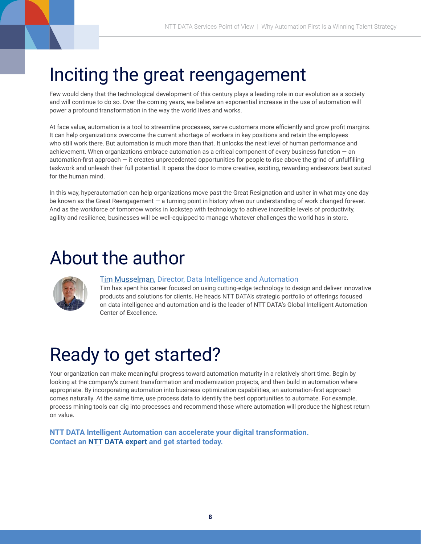## Inciting the great reengagement

Few would deny that the technological development of this century plays a leading role in our evolution as a society and will continue to do so. Over the coming years, we believe an exponential increase in the use of automation will power a profound transformation in the way the world lives and works.

At face value, automation is a tool to streamline processes, serve customers more efficiently and grow profit margins. It can help organizations overcome the current shortage of workers in key positions and retain the employees who still work there. But automation is much more than that. It unlocks the next level of human performance and achievement. When organizations embrace automation as a critical component of every business function — an automation-first approach  $-$  it creates unprecedented opportunities for people to rise above the grind of unfulfilling taskwork and unleash their full potential. It opens the door to more creative, exciting, rewarding endeavors best suited for the human mind.

In this way, hyperautomation can help organizations move past the Great Resignation and usher in what may one day be known as the Great Reengagement — a turning point in history when our understanding of work changed forever. And as the workforce of tomorrow works in lockstep with technology to achieve incredible levels of productivity, agility and resilience, businesses will be well-equipped to manage whatever challenges the world has in store.

## About the author



### [Tim Musselman,](mailto:Tim.Musselman%40nttdata.com?subject=) Director, Data Intelligence and Automation

Tim has spent his career focused on using cutting-edge technology to design and deliver innovative products and solutions for clients. He heads NTT DATA's strategic portfolio of offerings focused on data intelligence and automation and is the leader of NTT DATA's Global Intelligent Automation Center of Excellence.

## Ready to get started?

Your organization can make meaningful progress toward automation maturity in a relatively short time. Begin by looking at the company's current transformation and modernization projects, and then build in automation where appropriate. By incorporating automation into business optimization capabilities, an automation-first approach comes naturally. At the same time, use process data to identify the best opportunities to automate. For example, process mining tools can dig into processes and recommend those where automation will produce the highest return on value.

**NTT DATA Intelligent Automation can accelerate your digital transformation. Contact an [NTT DATA expert](https://us.nttdata.com/en/contact-us) and get started today.**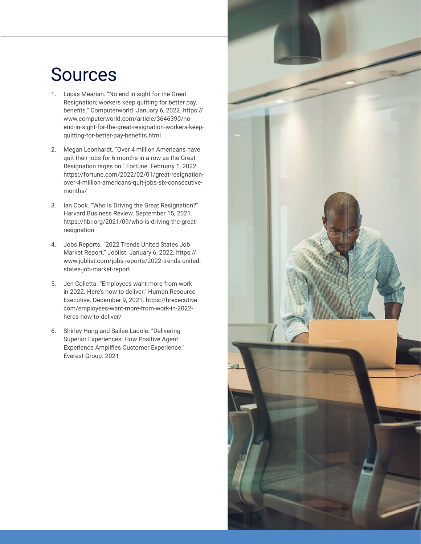## Sources

- 1. Lucas Mearian. "No end in sight for the Great Resignation; workers keep quitting for better pay, benefits." Computerworld. January 6, 2022. [https://](https://www.computerworld.com/article/3646390/no-end-in-sight-for-the-great-resignation-workers-keep-quitting-for-better-pay-benefits.html) [www.computerworld.com/article/3646390/no](https://www.computerworld.com/article/3646390/no-end-in-sight-for-the-great-resignation-workers-keep-quitting-for-better-pay-benefits.html)[end-in-sight-for-the-great-resignation-workers-keep](https://www.computerworld.com/article/3646390/no-end-in-sight-for-the-great-resignation-workers-keep-quitting-for-better-pay-benefits.html)[quitting-for-better-pay-benefits.html](https://www.computerworld.com/article/3646390/no-end-in-sight-for-the-great-resignation-workers-keep-quitting-for-better-pay-benefits.html)
- 2. Megan Leonhardt. "Over 4 million Americans have quit their jobs for 6 months in a row as the Great Resignation rages on." Fortune. February 1, 2022. [https://fortune.com/2022/02/01/great-resignation](https://fortune.com/2022/02/01/great-resignation-over-4-million-americans-quit-jobs-six-consecutive-months/ )[over-4-million-americans-quit-jobs-six-consecutive](https://fortune.com/2022/02/01/great-resignation-over-4-million-americans-quit-jobs-six-consecutive-months/ )[months/](https://fortune.com/2022/02/01/great-resignation-over-4-million-americans-quit-jobs-six-consecutive-months/ )
- 3. Ian Cook. "Who Is Driving the Great Resignation?" Harvard Business Review. September 15, 2021. [https://hbr.org/2021/09/who-is-driving-the-great](https://hbr.org/2021/09/who-is-driving-the-great-resignation)[resignation](https://hbr.org/2021/09/who-is-driving-the-great-resignation)
- 4. Jobs Reports. "2022 Trends United States Job Market Report." Joblist. January 6, 2022. [https://](https://www.joblist.com/jobs-reports/2022-trends-united-states-job-market-report) [www.joblist.com/jobs-reports/2022-trends-united](https://www.joblist.com/jobs-reports/2022-trends-united-states-job-market-report)[states-job-market-report](https://www.joblist.com/jobs-reports/2022-trends-united-states-job-market-report)
- 5. Jen Colletta. "Employees want more from work in 2022. Here's how to deliver." Human Resource Executive. December 9, 2021. [https://hrexecutive.](https://hrexecutive.com/employees-want-more-from-work-in-2022-heres-how-to-deliver/) [com/employees-want-more-from-work-in-2022](https://hrexecutive.com/employees-want-more-from-work-in-2022-heres-how-to-deliver/) [heres-how-to-deliver/](https://hrexecutive.com/employees-want-more-from-work-in-2022-heres-how-to-deliver/)
- 6. Shirley Hung and Sailee Ladole. "Delivering Superior Experiences: How Positive Agent Experience Amplifies Customer Experience." Everest Group. 2021